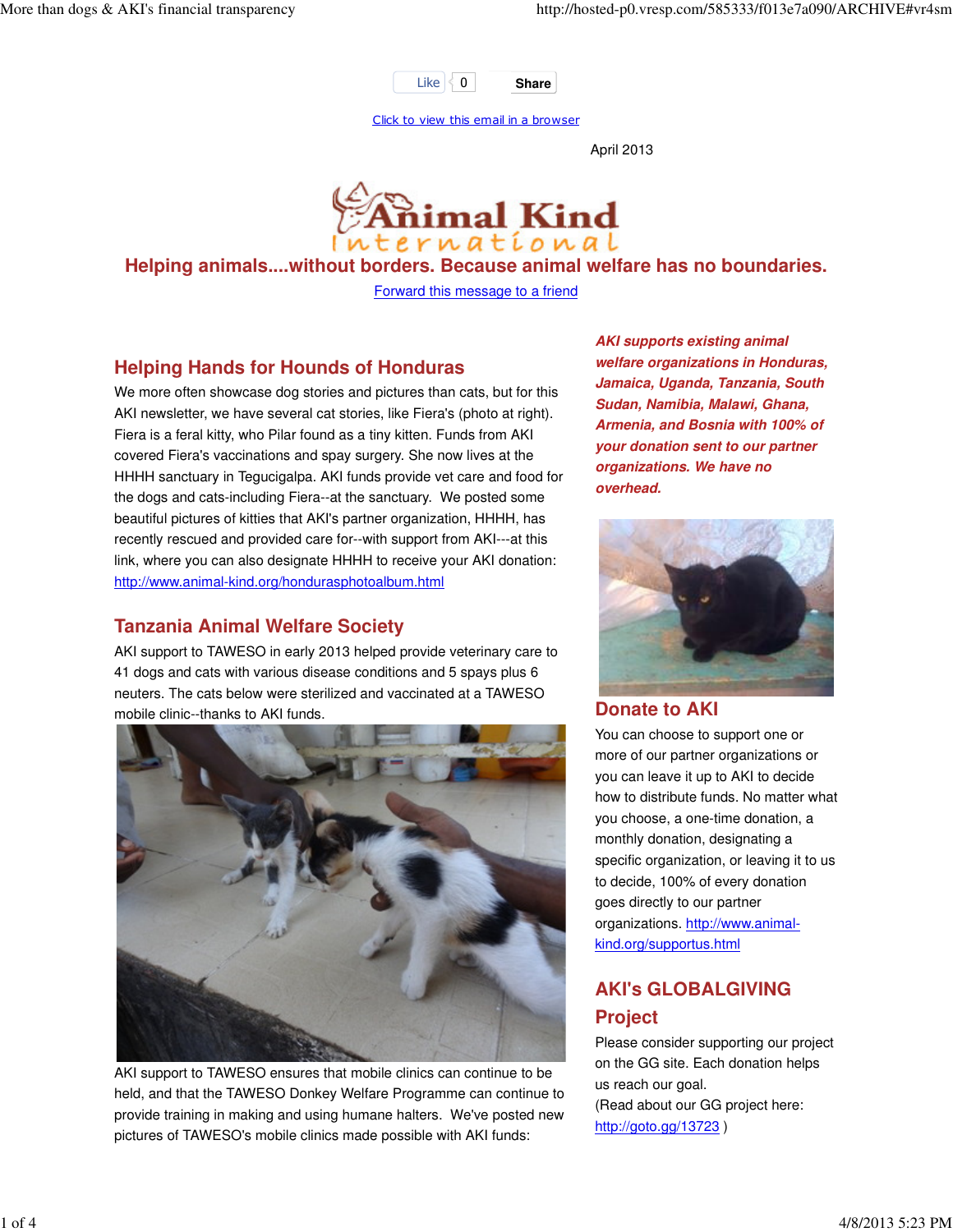

Click to view this email in a browser

April 2013



#### **Helping animals....without borders. Because animal welfare has no boundaries.**

Forward this message to a friend

#### **Helping Hands for Hounds of Honduras**

We more often showcase dog stories and pictures than cats, but for this AKI newsletter, we have several cat stories, like Fiera's (photo at right). Fiera is a feral kitty, who Pilar found as a tiny kitten. Funds from AKI covered Fiera's vaccinations and spay surgery. She now lives at the HHHH sanctuary in Tegucigalpa. AKI funds provide vet care and food for the dogs and cats-including Fiera--at the sanctuary. We posted some beautiful pictures of kitties that AKI's partner organization, HHHH, has recently rescued and provided care for--with support from AKI---at this link, where you can also designate HHHH to receive your AKI donation: http://www.animal-kind.org/hondurasphotoalbum.html

#### **Tanzania Animal Welfare Society**

AKI support to TAWESO in early 2013 helped provide veterinary care to 41 dogs and cats with various disease conditions and 5 spays plus 6 neuters. The cats below were sterilized and vaccinated at a TAWESO mobile clinic--thanks to AKI funds.



AKI support to TAWESO ensures that mobile clinics can continue to be held, and that the TAWESO Donkey Welfare Programme can continue to provide training in making and using humane halters. We've posted new pictures of TAWESO's mobile clinics made possible with AKI funds:

**AKI supports existing animal welfare organizations in Honduras, Jamaica, Uganda, Tanzania, South Sudan, Namibia, Malawi, Ghana, Armenia, and Bosnia with 100% of your donation sent to our partner organizations. We have no overhead.**



#### **Donate to AKI**

You can choose to support one or more of our partner organizations or you can leave it up to AKI to decide how to distribute funds. No matter what you choose, a one-time donation, a monthly donation, designating a specific organization, or leaving it to us to decide, 100% of every donation goes directly to our partner organizations. http://www.animalkind.org/supportus.html

# **AKI's GLOBALGIVING Project**

Please consider supporting our project on the GG site. Each donation helps us reach our goal. (Read about our GG project here: http://goto.gg/13723 )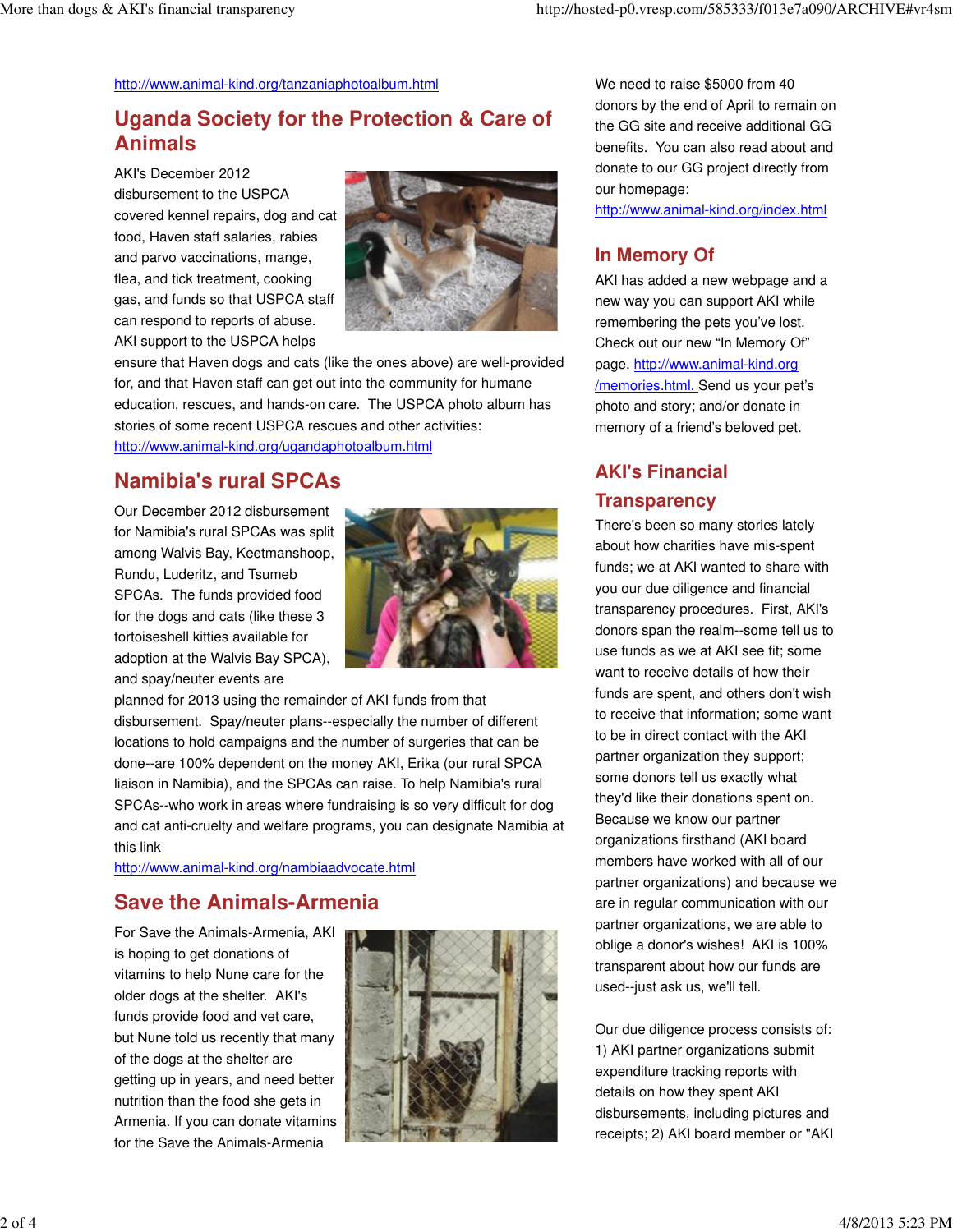#### http://www.animal-kind.org/tanzaniaphotoalbum.html

# **Uganda Society for the Protection & Care of Animals**

AKI's December 2012 disbursement to the USPCA covered kennel repairs, dog and cat food, Haven staff salaries, rabies and parvo vaccinations, mange, flea, and tick treatment, cooking gas, and funds so that USPCA staff can respond to reports of abuse. AKI support to the USPCA helps



ensure that Haven dogs and cats (like the ones above) are well-provided for, and that Haven staff can get out into the community for humane education, rescues, and hands-on care. The USPCA photo album has stories of some recent USPCA rescues and other activities: http://www.animal-kind.org/ugandaphotoalbum.html

### **Namibia's rural SPCAs**

Our December 2012 disbursement for Namibia's rural SPCAs was split among Walvis Bay, Keetmanshoop, Rundu, Luderitz, and Tsumeb SPCAs. The funds provided food for the dogs and cats (like these 3 tortoiseshell kitties available for adoption at the Walvis Bay SPCA), and spay/neuter events are



planned for 2013 using the remainder of AKI funds from that disbursement. Spay/neuter plans--especially the number of different locations to hold campaigns and the number of surgeries that can be done--are 100% dependent on the money AKI, Erika (our rural SPCA liaison in Namibia), and the SPCAs can raise. To help Namibia's rural SPCAs--who work in areas where fundraising is so very difficult for dog and cat anti-cruelty and welfare programs, you can designate Namibia at this link

http://www.animal-kind.org/nambiaadvocate.html

## **Save the Animals-Armenia**

For Save the Animals-Armenia, AKI is hoping to get donations of vitamins to help Nune care for the older dogs at the shelter. AKI's funds provide food and vet care, but Nune told us recently that many of the dogs at the shelter are getting up in years, and need better nutrition than the food she gets in Armenia. If you can donate vitamins for the Save the Animals-Armenia



We need to raise \$5000 from 40 donors by the end of April to remain on the GG site and receive additional GG benefits. You can also read about and donate to our GG project directly from our homepage:

http://www.animal-kind.org/index.html

## **In Memory Of**

AKI has added a new webpage and a new way you can support AKI while remembering the pets you've lost. Check out our new "In Memory Of" page. http://www.animal-kind.org /memories.html. Send us your pet's photo and story; and/or donate in memory of a friend's beloved pet.

## **AKI's Financial Transparency**

There's been so many stories lately about how charities have mis-spent funds; we at AKI wanted to share with you our due diligence and financial transparency procedures. First, AKI's donors span the realm--some tell us to use funds as we at AKI see fit; some want to receive details of how their funds are spent, and others don't wish to receive that information; some want to be in direct contact with the AKI partner organization they support; some donors tell us exactly what they'd like their donations spent on. Because we know our partner organizations firsthand (AKI board members have worked with all of our partner organizations) and because we are in regular communication with our partner organizations, we are able to oblige a donor's wishes! AKI is 100% transparent about how our funds are used--just ask us, we'll tell.

Our due diligence process consists of: 1) AKI partner organizations submit expenditure tracking reports with details on how they spent AKI disbursements, including pictures and receipts; 2) AKI board member or "AKI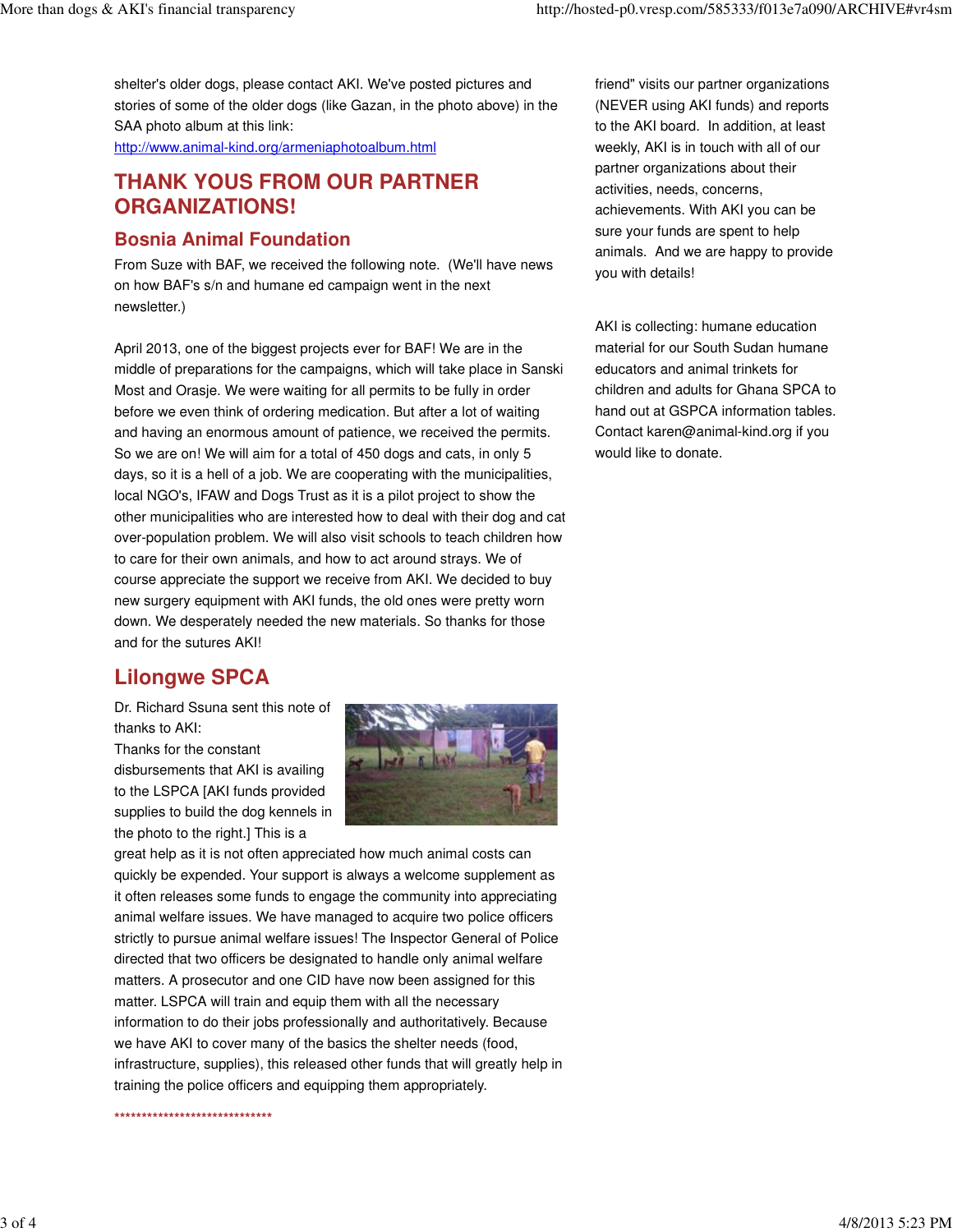shelter's older dogs, please contact AKI. We've posted pictures and stories of some of the older dogs (like Gazan, in the photo above) in the SAA photo album at this link:

http://www.animal-kind.org/armeniaphotoalbum.html

## **THANK YOUS FROM OUR PARTNER ORGANIZATIONS!**

#### **Bosnia Animal Foundation**

From Suze with BAF, we received the following note. (We'll have news on how BAF's s/n and humane ed campaign went in the next newsletter.)

April 2013, one of the biggest projects ever for BAF! We are in the middle of preparations for the campaigns, which will take place in Sanski Most and Orasje. We were waiting for all permits to be fully in order before we even think of ordering medication. But after a lot of waiting and having an enormous amount of patience, we received the permits. So we are on! We will aim for a total of 450 dogs and cats, in only 5 days, so it is a hell of a job. We are cooperating with the municipalities, local NGO's, IFAW and Dogs Trust as it is a pilot project to show the other municipalities who are interested how to deal with their dog and cat over-population problem. We will also visit schools to teach children how to care for their own animals, and how to act around strays. We of course appreciate the support we receive from AKI. We decided to buy new surgery equipment with AKI funds, the old ones were pretty worn down. We desperately needed the new materials. So thanks for those and for the sutures AKI!

# **Lilongwe SPCA**

Dr. Richard Ssuna sent this note of thanks to AKI:

Thanks for the constant disbursements that AKI is availing to the LSPCA [AKI funds provided supplies to build the dog kennels in the photo to the right.] This is a



great help as it is not often appreciated how much animal costs can quickly be expended. Your support is always a welcome supplement as it often releases some funds to engage the community into appreciating animal welfare issues. We have managed to acquire two police officers strictly to pursue animal welfare issues! The Inspector General of Police directed that two officers be designated to handle only animal welfare matters. A prosecutor and one CID have now been assigned for this matter. LSPCA will train and equip them with all the necessary information to do their jobs professionally and authoritatively. Because we have AKI to cover many of the basics the shelter needs (food, infrastructure, supplies), this released other funds that will greatly help in training the police officers and equipping them appropriately.

**\*\*\*\*\*\*\*\*\*\*\*\*\*\*\*\*\*\*\*\*\*\*\*\*\*\*\*\*\***

friend" visits our partner organizations (NEVER using AKI funds) and reports to the AKI board. In addition, at least weekly, AKI is in touch with all of our partner organizations about their activities, needs, concerns, achievements. With AKI you can be sure your funds are spent to help animals. And we are happy to provide you with details!

AKI is collecting: humane education material for our South Sudan humane educators and animal trinkets for children and adults for Ghana SPCA to hand out at GSPCA information tables. Contact karen@animal-kind.org if you would like to donate.